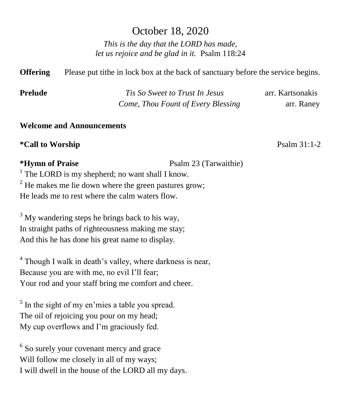# October 18, 2020

*This is the day that the LORD has made, let us rejoice and be glad in it.* Psalm 118:24

**Offering** Please put tithe in lock box at the back of sanctuary before the service begins.

| <b>Prelude</b> | Tis So Sweet to Trust In Jesus     | arr. Kartsonakis |
|----------------|------------------------------------|------------------|
|                | Come, Thou Fount of Every Blessing | arr. Raney       |

## **Welcome and Announcements**

**\*Call to Worship** Psalm 31:1-2

**\*Hymn of Praise** Psalm 23 (Tarwaithie)

<sup>1</sup> The LORD is my shepherd; no want shall I know.  $2$  He makes me lie down where the green pastures grow; He leads me to rest where the calm waters flow.

 $3$  My wandering steps he brings back to his way, In straight paths of righteousness making me stay; And this he has done his great name to display.

<sup>4</sup> Though I walk in death's valley, where darkness is near, Because you are with me, no evil I'll fear; Your rod and your staff bring me comfort and cheer.

<sup>5</sup> In the sight of my en'mies a table you spread. The oil of rejoicing you pour on my head; My cup overflows and I'm graciously fed.

<sup>6</sup> So surely your covenant mercy and grace Will follow me closely in all of my ways; I will dwell in the house of the LORD all my days.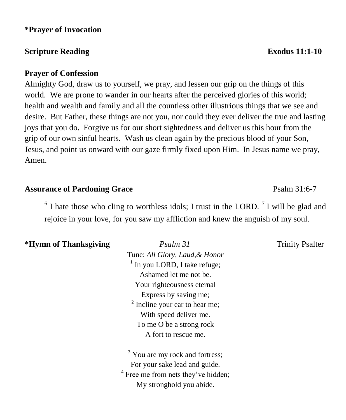## **\*Prayer of Invocation**

# **Scripture Reading Exodus 11:1-10**

## **Prayer of Confession**

Almighty God, draw us to yourself, we pray, and lessen our grip on the things of this world. We are prone to wander in our hearts after the perceived glories of this world; health and wealth and family and all the countless other illustrious things that we see and desire. But Father, these things are not you, nor could they ever deliver the true and lasting joys that you do. Forgive us for our short sightedness and deliver us this hour from the grip of our own sinful hearts. Wash us clean again by the precious blood of your Son, Jesus, and point us onward with our gaze firmly fixed upon Him. In Jesus name we pray, Amen.

## Assurance of Pardoning Grace **Particle 12:00 Psalm 31:6-7**

 $6$  I hate those who cling to worthless idols; I trust in the LORD.  $7$  I will be glad and rejoice in your love, for you saw my affliction and knew the anguish of my soul.

# **\*Hymn of Thanksgiving** *Psalm 31* Trinity Psalter

Tune: *All Glory, Laud,& Honor* <sup>1</sup> In you LORD, I take refuge; Ashamed let me not be. Your righteousness eternal Express by saving me;  $2$  Incline your ear to hear me; With speed deliver me. To me O be a strong rock A fort to rescue me.

<sup>3</sup> You are my rock and fortress; For your sake lead and guide. <sup>4</sup> Free me from nets they've hidden; My stronghold you abide.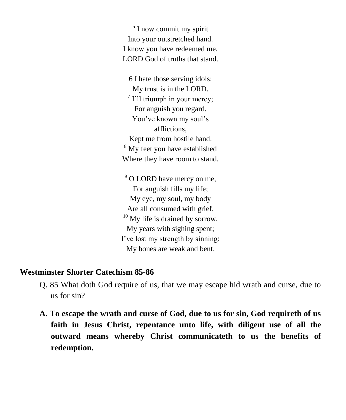<sup>5</sup> I now commit my spirit Into your outstretched hand. I know you have redeemed me, LORD God of truths that stand.

6 I hate those serving idols; My trust is in the LORD. <sup>7</sup> I'll triumph in your mercy; For anguish you regard. You've known my soul's afflictions, Kept me from hostile hand. <sup>8</sup> My feet you have established Where they have room to stand.

<sup>9</sup> O LORD have mercy on me, For anguish fills my life; My eye, my soul, my body Are all consumed with grief.  $10$  My life is drained by sorrow, My years with sighing spent; I've lost my strength by sinning; My bones are weak and bent.

# **Westminster Shorter Catechism 85-86**

- Q. 85 What doth God require of us, that we may escape hid wrath and curse, due to us for sin?
- **A. To escape the wrath and curse of God, due to us for sin, God requireth of us faith in Jesus Christ, repentance unto life, with diligent use of all the outward means whereby Christ communicateth to us the benefits of redemption.**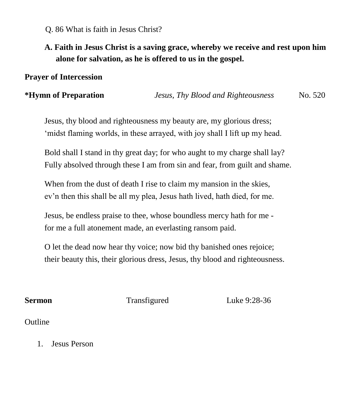## Q. 86 What is faith in Jesus Christ?

# **A. Faith in Jesus Christ is a saving grace, whereby we receive and rest upon him alone for salvation, as he is offered to us in the gospel.**

## **Prayer of Intercession**

## **\*Hymn of Preparation** *Jesus, Thy Blood and Righteousness* No. 520

Jesus, thy blood and righteousness my beauty are, my glorious dress; 'midst flaming worlds, in these arrayed, with joy shall I lift up my head.

Bold shall I stand in thy great day; for who aught to my charge shall lay? Fully absolved through these I am from sin and fear, from guilt and shame.

When from the dust of death I rise to claim my mansion in the skies, ev'n then this shall be all my plea, Jesus hath lived, hath died, for me.

Jesus, be endless praise to thee, whose boundless mercy hath for me for me a full atonement made, an everlasting ransom paid.

O let the dead now hear thy voice; now bid thy banished ones rejoice; their beauty this, their glorious dress, Jesus, thy blood and righteousness.

**Sermon Transfigured** Luke 9:28-36

## Outline

1. Jesus Person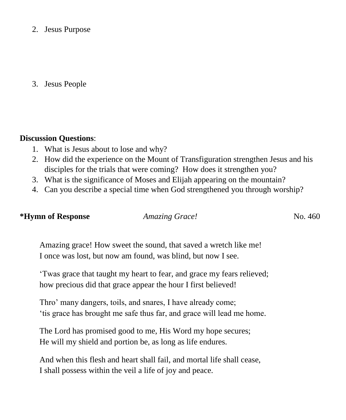2. Jesus Purpose

3. Jesus People

### **Discussion Questions**:

- 1. What is Jesus about to lose and why?
- 2. How did the experience on the Mount of Transfiguration strengthen Jesus and his disciples for the trials that were coming? How does it strengthen you?
- 3. What is the significance of Moses and Elijah appearing on the mountain?
- 4. Can you describe a special time when God strengthened you through worship?

**\*Hymn of Response** *Amazing Grace!*No. 460

Amazing grace! How sweet the sound, that saved a wretch like me! I once was lost, but now am found, was blind, but now I see.

'Twas grace that taught my heart to fear, and grace my fears relieved; how precious did that grace appear the hour I first believed!

Thro' many dangers, toils, and snares, I have already come; 'tis grace has brought me safe thus far, and grace will lead me home.

The Lord has promised good to me, His Word my hope secures; He will my shield and portion be, as long as life endures.

And when this flesh and heart shall fail, and mortal life shall cease, I shall possess within the veil a life of joy and peace.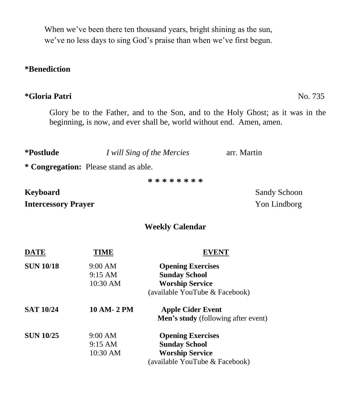When we've been there ten thousand years, bright shining as the sun, we've no less days to sing God's praise than when we've first begun.

## **\*Benediction**

## **\*Gloria Patri** No. 735

Glory be to the Father, and to the Son, and to the Holy Ghost; as it was in the beginning, is now, and ever shall be, world without end. Amen, amen.

| *Postlude                  |                                       | I will Sing of the Mercies | arr. Martin         |
|----------------------------|---------------------------------------|----------------------------|---------------------|
|                            | * Congregation: Please stand as able. |                            |                     |
|                            |                                       | * * * * * * * *            |                     |
| <b>Keyboard</b>            |                                       |                            | <b>Sandy Schoon</b> |
| <b>Intercessory Prayer</b> |                                       |                            | Yon Lindborg        |
|                            |                                       | <b>Weekly Calendar</b>     |                     |
| <b>DATE</b>                | TIME                                  | <b>EVENT</b>               |                     |
| <b>SUN 10/18</b>           | 9:00 AM                               | <b>Opening Exercises</b>   |                     |
|                            | 9:15 AM                               | <b>Sunday School</b>       |                     |
|                            | 10:30 AM                              | <b>Worship Service</b>     |                     |

|                  |                   | (available YouTube & Facebook)             |
|------------------|-------------------|--------------------------------------------|
| <b>SAT 10/24</b> | 10 AM- 2 PM       | <b>Apple Cider Event</b>                   |
|                  |                   | <b>Men's study</b> (following after event) |
| <b>SUN 10/25</b> | 9:00 AM           | <b>Opening Exercises</b>                   |
|                  | $9:15 \text{ AM}$ | <b>Sunday School</b>                       |
|                  | 10:30 AM          | <b>Worship Service</b>                     |
|                  |                   | (available YouTube & Facebook)             |

**\*Postlude** *I will Sing of the Mercies*arr. Martin